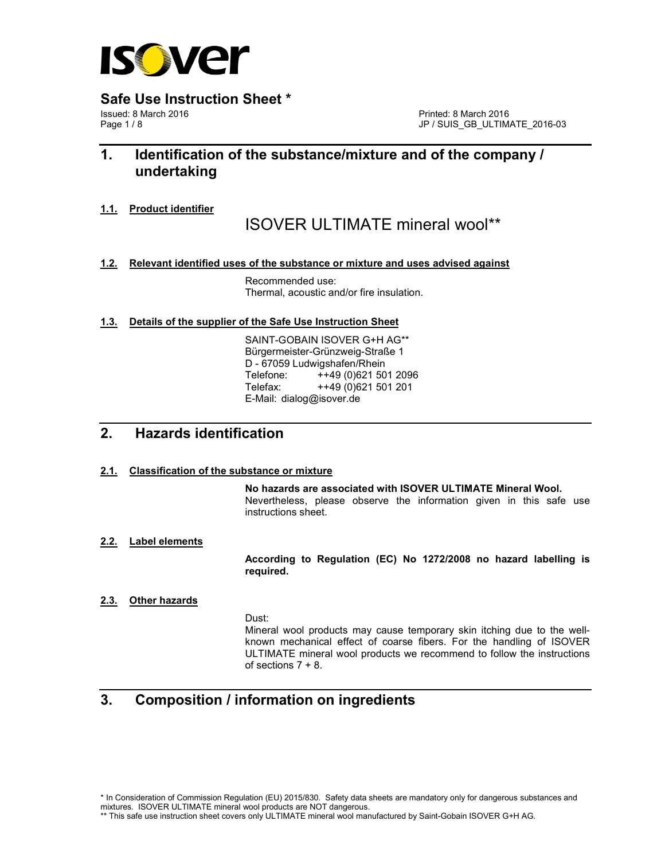

**Safe Use Instruction Sheet \* Issued: 8 March 2016** 

Issued: 8 March 2016 **Printed: 8 March 2016** Printed: 8 March 2016 **Printed: 8 March 2016** Printed: 8 March 2016

JP / SUIS\_GB\_ULTIMATE\_2016-03

# **1. Identification of the substance/mixture and of the company / undertaking**

**1.1. Product identifier**

ISOVER ULTIMATE mineral wool\*\*

**1.2. Relevant identified uses of the substance or mixture and uses advised against** 

 Recommended use: Thermal, acoustic and/or fire insulation.

**1.3. Details of the supplier of the Safe Use Instruction Sheet** 

 SAINT-GOBAIN ISOVER G+H AG\*\* Bürgermeister-Grünzweig-Straße 1 D - 67059 Ludwigshafen/Rhein Telefone: ++49 (0)621 501 2096 Telefax: ++49 (0)621 501 201 E-Mail: dialog@isover.de

## **2. Hazards identification**

## **2.1. Classification of the substance or mixture**

 **No hazards are associated with ISOVER ULTIMATE Mineral Wool.**  Nevertheless, please observe the information given in this safe use instructions sheet.

**2.2. Label elements**

 **According to Regulation (EC) No 1272/2008 no hazard labelling is required.** 

## **2.3. Other hazards**

Dust:

 Mineral wool products may cause temporary skin itching due to the well known mechanical effect of coarse fibers. For the handling of ISOVER ULTIMATE mineral wool products we recommend to follow the instructions of sections  $7 + 8$ .

# **3. Composition / information on ingredients**

\* In Consideration of Commission Regulation (EU) 2015/830. Safety data sheets are mandatory only for dangerous substances and mixtures. ISOVER ULTIMATE mineral wool products are NOT dangerous.

<sup>\*\*</sup> This safe use instruction sheet covers only ULTIMATE mineral wool manufactured by Saint-Gobain ISOVER G+H AG.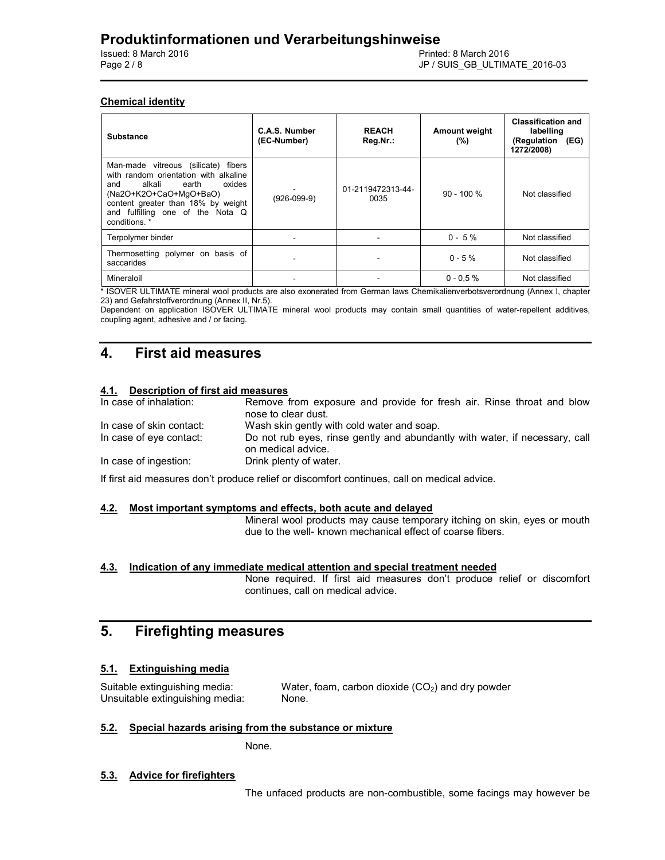## **Chemical identity**

| <b>Substance</b>                                                                                                                                                                                                                      | C.A.S. Number<br>(EC-Number) | <b>REACH</b><br>Reg.Nr.:  | <b>Amount weight</b><br>(%) | <b>Classification and</b><br>labelling<br>(Regulation<br>(EG)<br>1272/2008) |
|---------------------------------------------------------------------------------------------------------------------------------------------------------------------------------------------------------------------------------------|------------------------------|---------------------------|-----------------------------|-----------------------------------------------------------------------------|
| Man-made vitreous (silicate) fibers<br>with random orientation with alkaline<br>oxides<br>alkali<br>earth<br>and<br>(Na2O+K2O+CaO+MqO+BaO)<br>content greater than 18% by weight<br>and fulfilling one of the Nota Q<br>conditions. * | $(926-099-9)$                | 01-2119472313-44-<br>0035 | $90 - 100 %$                | Not classified                                                              |
| Terpolymer binder                                                                                                                                                                                                                     |                              |                           | $0 - 5\%$                   | Not classified                                                              |
| Thermosetting polymer on basis of<br>saccarides                                                                                                                                                                                       |                              |                           | $0 - 5 \%$                  | Not classified                                                              |
| Mineraloil                                                                                                                                                                                                                            |                              |                           | $0 - 0.5 \%$                | Not classified                                                              |

\* ISOVER ULTIMATE mineral wool products are also exonerated from German laws Chemikalienverbotsverordnung (Annex I, chapter 23) and Gefahrstoffverordnung (Annex II, Nr.5).

Dependent on application ISOVER ULTIMATE mineral wool products may contain small quantities of water-repellent additives, coupling agent, adhesive and / or facing.

## **4. First aid measures**

## **4.1. Description of first aid measures**

| In case of inhalation:   | Remove from exposure and provide for fresh air. Rinse throat and blow<br>nose to clear dust.      |
|--------------------------|---------------------------------------------------------------------------------------------------|
| In case of skin contact: | Wash skin gently with cold water and soap.                                                        |
| In case of eye contact:  | Do not rub eyes, rinse gently and abundantly with water, if necessary, call<br>on medical advice. |
| In case of ingestion:    | Drink plenty of water.                                                                            |

If first aid measures don't produce relief or discomfort continues, call on medical advice.

#### **4.2. Most important symptoms and effects, both acute and delayed**

 Mineral wool products may cause temporary itching on skin, eyes or mouth due to the well- known mechanical effect of coarse fibers.

#### **4.3. Indication of any immediate medical attention and special treatment needed**

 None required. If first aid measures don't produce relief or discomfort continues, call on medical advice.

# **5. Firefighting measures**

## **5.1. Extinguishing media**

Suitable extinguishing media:  $W$ ater, foam, carbon dioxide ( $CO<sub>2</sub>$ ) and dry powder Unsuitable extinguishing media: None.

#### **5.2. Special hazards arising from the substance or mixture**

None.

#### **5.3. Advice for firefighters**

The unfaced products are non-combustible, some facings may however be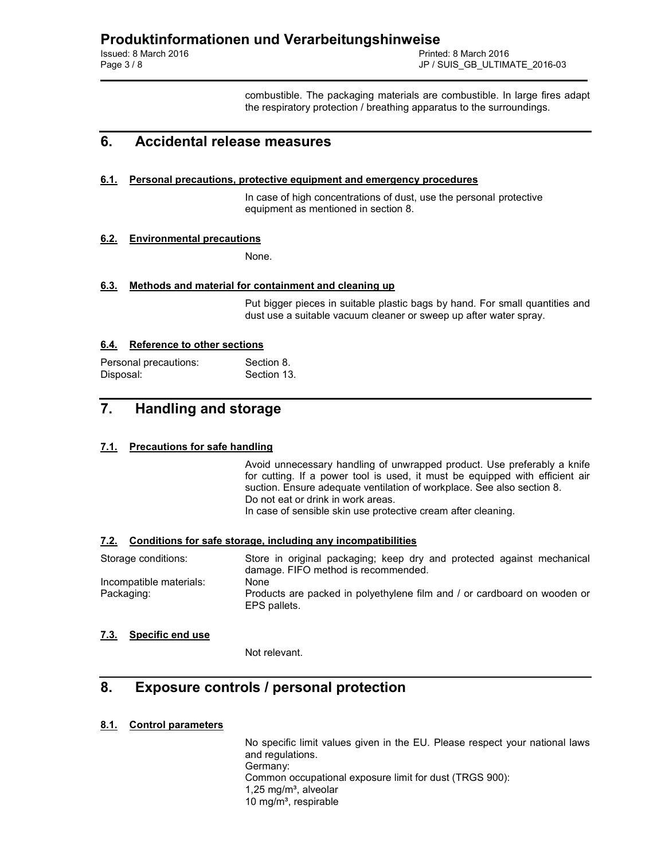combustible. The packaging materials are combustible. In large fires adapt the respiratory protection / breathing apparatus to the surroundings.

## **6. Accidental release measures**

#### **6.1. Personal precautions, protective equipment and emergency procedures**

 In case of high concentrations of dust, use the personal protective equipment as mentioned in section 8.

## **6.2. Environmental precautions**

None.

#### **6.3. Methods and material for containment and cleaning up**

 Put bigger pieces in suitable plastic bags by hand. For small quantities and dust use a suitable vacuum cleaner or sweep up after water spray.

## **6.4. Reference to other sections**

| Personal precautions: | Section 8.  |
|-----------------------|-------------|
| Disposal:             | Section 13. |

# **7. Handling and storage**

## **7.1. Precautions for safe handling**

 Avoid unnecessary handling of unwrapped product. Use preferably a knife for cutting. If a power tool is used, it must be equipped with efficient air suction. Ensure adequate ventilation of workplace. See also section 8. Do not eat or drink in work areas. In case of sensible skin use protective cream after cleaning.

#### **7.2. Conditions for safe storage, including any incompatibilities**

| Storage conditions:     | Store in original packaging; keep dry and protected against mechanical                   |
|-------------------------|------------------------------------------------------------------------------------------|
|                         | damage. FIFO method is recommended.                                                      |
| Incompatible materials: | None                                                                                     |
| Packaging:              | Products are packed in polyethylene film and / or cardboard on wooden or<br>EPS pallets. |

## **7.3. Specific end use**

Not relevant.

## **8. Exposure controls / personal protection**

## **8.1. Control parameters**

 No specific limit values given in the EU. Please respect your national laws and regulations. Germany: Common occupational exposure limit for dust (TRGS 900):  $1,25$  mg/m<sup>3</sup>, alveolar 10 mg/m<sup>3</sup>, respirable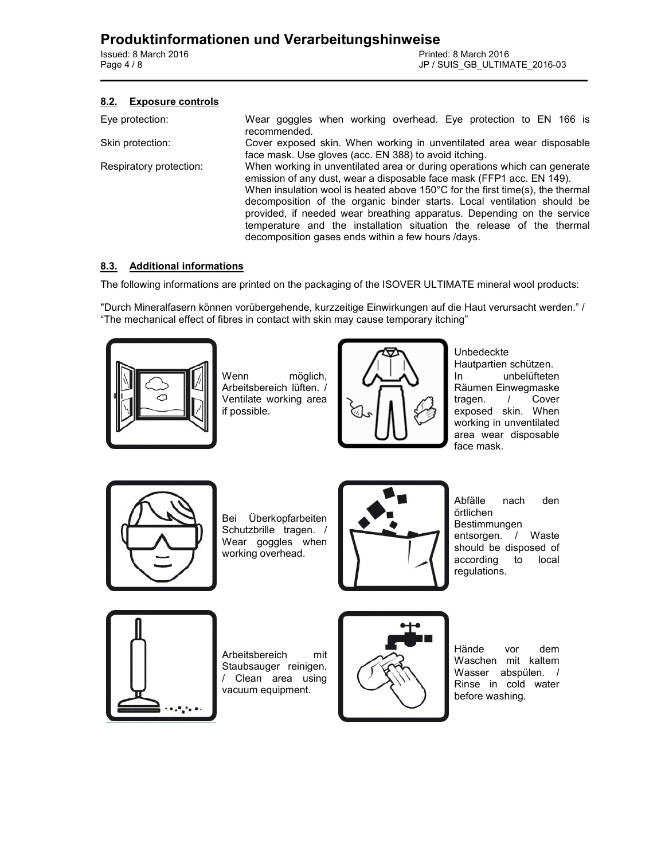## **8.2. Exposure controls**

| Eye protection:         | Wear goggles when working overhead. Eye protection to EN 166 is<br>recommended.                                                                                                                                                                                                                                                                                                                                                                                                                                                   |
|-------------------------|-----------------------------------------------------------------------------------------------------------------------------------------------------------------------------------------------------------------------------------------------------------------------------------------------------------------------------------------------------------------------------------------------------------------------------------------------------------------------------------------------------------------------------------|
| Skin protection:        | Cover exposed skin. When working in unventilated area wear disposable<br>face mask. Use gloves (acc. EN 388) to avoid itching.                                                                                                                                                                                                                                                                                                                                                                                                    |
| Respiratory protection: | When working in unventilated area or during operations which can generate<br>emission of any dust, wear a disposable face mask (FFP1 acc. EN 149).<br>When insulation wool is heated above 150 $\degree$ C for the first time(s), the thermal<br>decomposition of the organic binder starts. Local ventilation should be<br>provided, if needed wear breathing apparatus. Depending on the service<br>temperature and the installation situation the release of the thermal<br>decomposition gases ends within a few hours /days. |

## **8.3. Additional informations**

The following informations are printed on the packaging of the ISOVER ULTIMATE mineral wool products:

"Durch Mineralfasern können vorübergehende, kurzzeitige Einwirkungen auf die Haut verursacht werden." / "The mechanical effect of fibres in contact with skin may cause temporary itching"



Wenn möglich, Arbeitsbereich lüften. / Ventilate working area if possible.



Unbedeckte Hautpartien schützen. In unbelüfteten Räumen Einwegmaske<br>tragen. / Cover tragen.  $/$ exposed skin. When working in unventilated area wear disposable face mask.



Bei Überkopfarbeiten Schutzbrille tragen. / Wear goggles when working overhead.



Abfälle nach den örtlichen Bestimmungen entsorgen. / Waste should be disposed of according to local regulations.



Arbeitsbereich mit Staubsauger reinigen. / Clean area using vacuum equipment.



Hände vor dem Waschen mit kaltem Wasser abspülen. / Rinse in cold water before washing.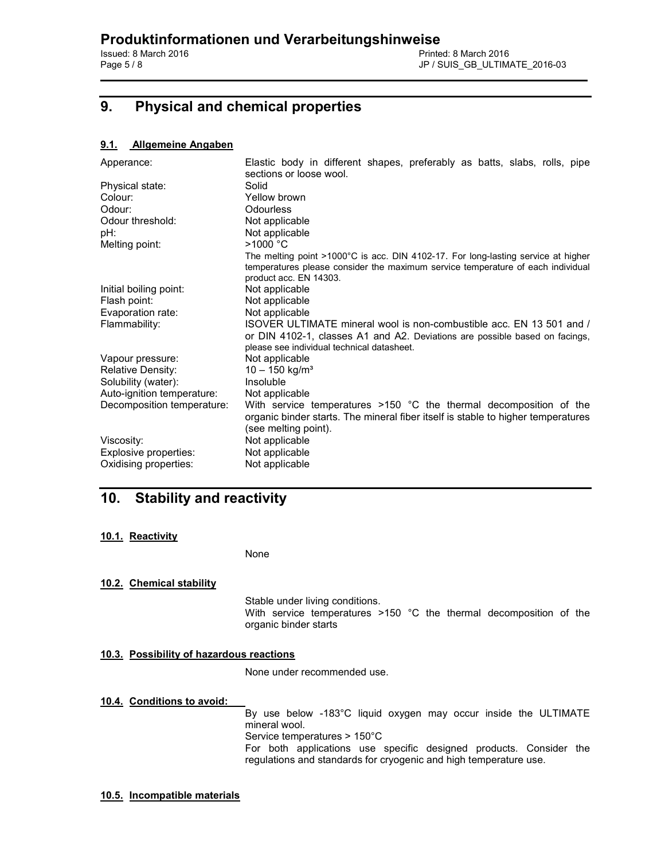# **9. Physical and chemical properties**

## **9.1. Allgemeine Angaben**

| Apperance:                 | Elastic body in different shapes, preferably as batts, slabs, rolls, pipe<br>sections or loose wool.                                                                                                     |
|----------------------------|----------------------------------------------------------------------------------------------------------------------------------------------------------------------------------------------------------|
| Physical state:            | Solid                                                                                                                                                                                                    |
| Colour:                    | Yellow brown                                                                                                                                                                                             |
| Odour:                     | Odourless                                                                                                                                                                                                |
| Odour threshold:           | Not applicable                                                                                                                                                                                           |
| pH:                        | Not applicable                                                                                                                                                                                           |
| Melting point:             | >1000 °C                                                                                                                                                                                                 |
|                            | The melting point $>1000^{\circ}$ C is acc. DIN 4102-17. For long-lasting service at higher<br>temperatures please consider the maximum service temperature of each individual<br>product acc. EN 14303. |
| Initial boiling point:     | Not applicable                                                                                                                                                                                           |
| Flash point:               | Not applicable                                                                                                                                                                                           |
| Evaporation rate:          | Not applicable                                                                                                                                                                                           |
| Flammability:              | ISOVER ULTIMATE mineral wool is non-combustible acc. EN 13 501 and /<br>or DIN 4102-1, classes A1 and A2. Deviations are possible based on facings,<br>please see individual technical datasheet.        |
| Vapour pressure:           | Not applicable                                                                                                                                                                                           |
| Relative Density:          | $10 - 150$ kg/m <sup>3</sup>                                                                                                                                                                             |
| Solubility (water):        | Insoluble                                                                                                                                                                                                |
| Auto-ignition temperature: | Not applicable                                                                                                                                                                                           |
| Decomposition temperature: | With service temperatures >150 °C the thermal decomposition of the<br>organic binder starts. The mineral fiber itself is stable to higher temperatures<br>(see melting point).                           |
| Viscosity:                 | Not applicable                                                                                                                                                                                           |
| Explosive properties:      | Not applicable                                                                                                                                                                                           |
| Oxidising properties:      | Not applicable                                                                                                                                                                                           |

# **10. Stability and reactivity**

## **10.1. Reactivity**

None

## **10.2. Chemical stability**

 Stable under living conditions. With service temperatures >150 °C the thermal decomposition of the organic binder starts

## **10.3. Possibility of hazardous reactions**

None under recommended use.

## **10.4. Conditions to avoid:**

 By use below -183°C liquid oxygen may occur inside the ULTIMATE mineral wool. Service temperatures > 150°C For both applications use specific designed products. Consider the regulations and standards for cryogenic and high temperature use.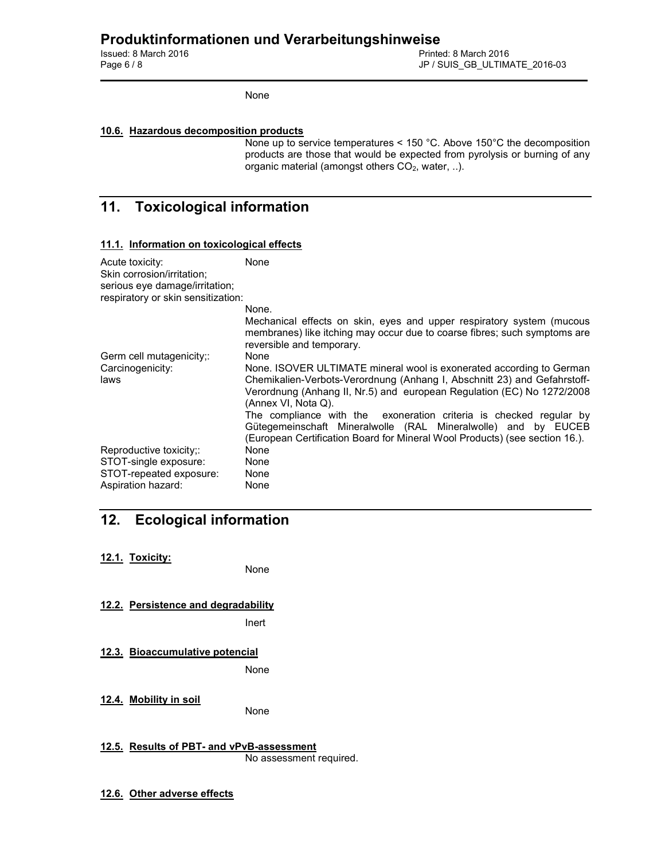# **Produktinformationen und Verarbeitungshinweise**

Printed: 8 March 2016 Page 6 / 8 JP / SUIS\_GB\_ULTIMATE\_2016-03

None

## **10.6. Hazardous decomposition products**

None up to service temperatures < 150 °C. Above 150°C the decomposition products are those that would be expected from pyrolysis or burning of any organic material (amongst others  $CO<sub>2</sub>$ , water, ..).

# **11. Toxicological information**

## **11.1. Information on toxicological effects**

| Acute toxicity:<br>Skin corrosion/irritation;<br>serious eye damage/irritation; | None                                                                                                                                                                                                                                              |
|---------------------------------------------------------------------------------|---------------------------------------------------------------------------------------------------------------------------------------------------------------------------------------------------------------------------------------------------|
| respiratory or skin sensitization:                                              |                                                                                                                                                                                                                                                   |
|                                                                                 | None.                                                                                                                                                                                                                                             |
|                                                                                 | Mechanical effects on skin, eyes and upper respiratory system (mucous<br>membranes) like itching may occur due to coarse fibres; such symptoms are<br>reversible and temporary.                                                                   |
| Germ cell mutagenicity;:                                                        | None                                                                                                                                                                                                                                              |
| Carcinogenicity:<br>laws                                                        | None. ISOVER ULTIMATE mineral wool is exonerated according to German<br>Chemikalien-Verbots-Verordnung (Anhang I, Abschnitt 23) and Gefahrstoff-<br>Verordnung (Anhang II, Nr.5) and european Regulation (EC) No 1272/2008<br>(Annex VI, Nota Q). |
|                                                                                 | The compliance with the exoneration criteria is checked reqular by<br>Gütegemeinschaft Mineralwolle (RAL Mineralwolle) and by EUCEB<br>(European Certification Board for Mineral Wool Products) (see section 16.).                                |
| Reproductive toxicity;:                                                         | None                                                                                                                                                                                                                                              |
| STOT-single exposure:                                                           | None                                                                                                                                                                                                                                              |
| STOT-repeated exposure:                                                         | None                                                                                                                                                                                                                                              |
| Aspiration hazard:                                                              | None                                                                                                                                                                                                                                              |

# **12. Ecological information**

**12.1. Toxicity:** 

None

**12.2. Persistence and degradability** 

Inert

**12.3. Bioaccumulative potencial** 

None

- **12.4. Mobility in soil**  None
- **12.5. Results of PBT- and vPvB-assessment**  No assessment required.
- **12.6. Other adverse effects**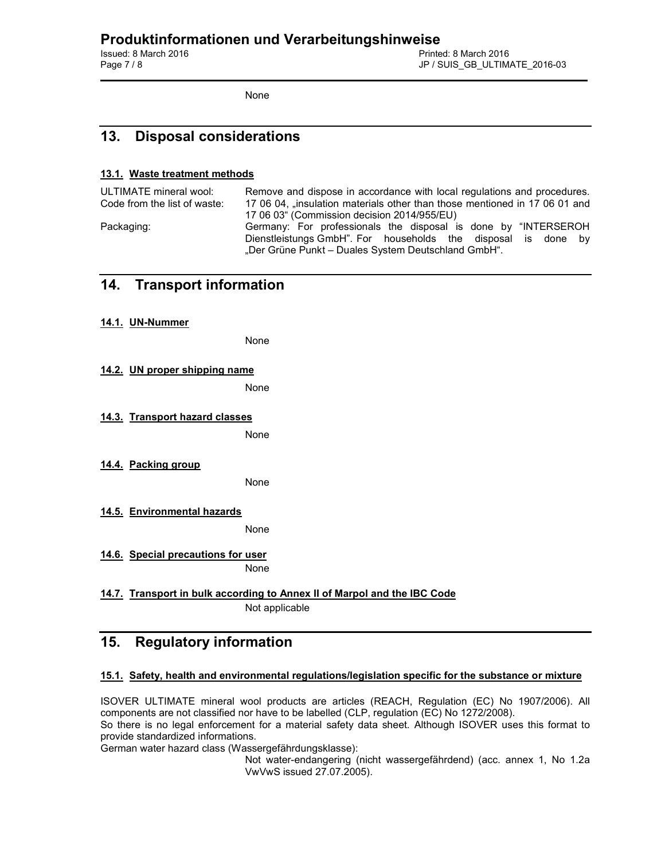Printed: 8 March 2016 Page 7 / 8 JP / SUIS\_GB\_ULTIMATE\_2016-03

None

# **13. Disposal considerations**

## **13.1. Waste treatment methods**

ULTIMATE mineral wool: Remove and dispose in accordance with local regulations and procedures. Code from the list of waste: 17 06 04, "insulation materials other than those mentioned in 17 06 01 and 17 06 03" (Commission decision 2014/955/EU) Packaging: Germany: For professionals the disposal is done by "INTERSEROH Dienstleistungs GmbH". For households the disposal is done by "Der Grüne Punkt - Duales System Deutschland GmbH".

## **14. Transport information**

**14.1. UN-Nummer** 

None

**14.2. UN proper shipping name** 

None

## **14.3. Transport hazard classes**

None

**14.4. Packing group** 

None

**14.5. Environmental hazards**  None

**14.6. Special precautions for user**  None

**14.7. Transport in bulk according to Annex II of Marpol and the IBC Code** Not applicable

# **15. Regulatory information**

## **15.1. Safety, health and environmental regulations/legislation specific for the substance or mixture**

ISOVER ULTIMATE mineral wool products are articles (REACH, Regulation (EC) No 1907/2006). All components are not classified nor have to be labelled (CLP, regulation (EC) No 1272/2008). So there is no legal enforcement for a material safety data sheet. Although ISOVER uses this format to provide standardized informations.

German water hazard class (Wassergefährdungsklasse):

 Not water-endangering (nicht wassergefährdend) (acc. annex 1, No 1.2a VwVwS issued 27.07.2005).